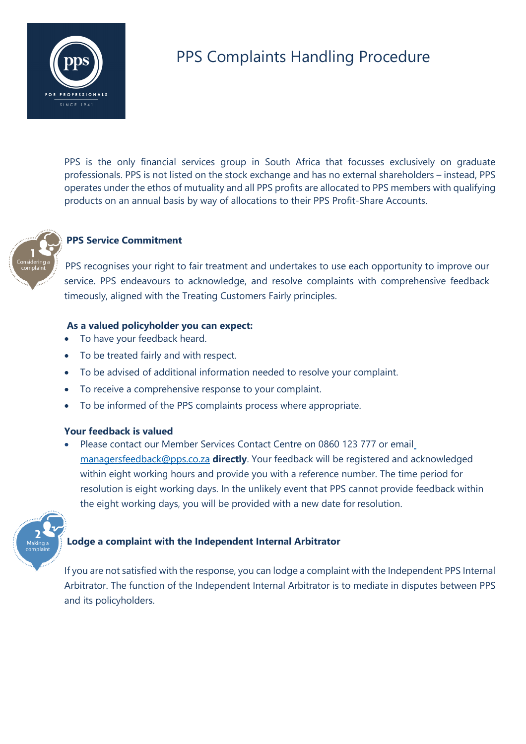

# PPS Complaints Handling Procedure

PPS is the only financial services group in South Africa that focusses exclusively on graduate professionals. PPS is not listed on the stock exchange and has no external shareholders – instead, PPS operates under the ethos of mutuality and all PPS profits are allocated to PPS members with qualifying products on an annual basis by way of allocations to their PPS Profit-Share Accounts.



# **PPS Service Commitment**

PPS recognises your right to fair treatment and undertakes to use each opportunity to improve our service. PPS endeavours to acknowledge, and resolve complaints with comprehensive feedback timeously, aligned with the Treating Customers Fairly principles.

## **As a valued policyholder you can expect:**

- To have your feedback heard.
- To be treated fairly and with respect.
- To be advised of additional information needed to resolve your complaint.
- To receive a comprehensive response to your complaint.
- To be informed of the PPS complaints process where appropriate.

#### **Your feedback is valued**

• Please contact our Member Services Contact Centre on 0860 123 777 or email managersfeedback@pps.co.za **directly**. Your feedback will be registered and acknowledged within eight working hours and provide you with a reference number. The time period for resolution is eight working days. In the unlikely event that PPS cannot provide feedback within the eight working days, you will be provided with a new date for resolution.



# **Lodge a complaint with the Independent Internal Arbitrator**

If you are not satisfied with the response, you can lodge a complaint with the Independent PPS Internal Arbitrator. The function of the Independent Internal Arbitrator is to mediate in disputes between PPS and its policyholders.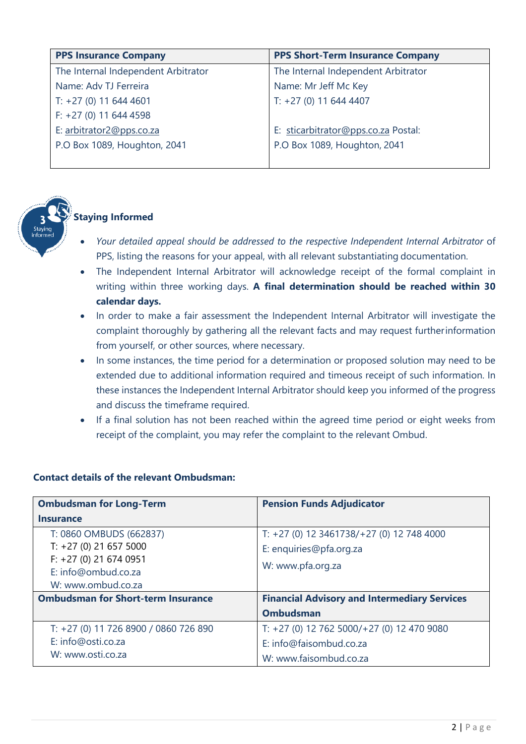| <b>PPS Insurance Company</b>        | <b>PPS Short-Term Insurance Company</b> |
|-------------------------------------|-----------------------------------------|
| The Internal Independent Arbitrator | The Internal Independent Arbitrator     |
| Name: Adv TJ Ferreira               | Name: Mr Jeff Mc Key                    |
| $T: +27(0)$ 11 644 4601             | $T: +27(0)$ 11 644 4407                 |
| $F: +27(0)$ 11 644 4598             |                                         |
| E: arbitrator2@pps.co.za            | E: sticarbitrator@pps.co.za Postal:     |
| P.O Box 1089, Houghton, 2041        | P.O Box 1089, Houghton, 2041            |
|                                     |                                         |



# **Staying Informed**

- *Your detailed appeal should be addressed to the respective Independent Internal Arbitrator* of PPS, listing the reasons for your appeal, with all relevant substantiating documentation.
- The Independent Internal Arbitrator will acknowledge receipt of the formal complaint in writing within three working days. **A final determination should be reached within 30 calendar days.**
- In order to make a fair assessment the Independent Internal Arbitrator will investigate the complaint thoroughly by gathering all the relevant facts and may request furtherinformation from yourself, or other sources, where necessary.
- In some instances, the time period for a determination or proposed solution may need to be extended due to additional information required and timeous receipt of such information. In these instances the Independent Internal Arbitrator should keep you informed of the progress and discuss the timeframe required.
- If a final solution has not been reached within the agreed time period or eight weeks from receipt of the complaint, you may refer the complaint to the relevant Ombud.

| <b>Ombudsman for Long-Term</b>            | <b>Pension Funds Adjudicator</b>                    |
|-------------------------------------------|-----------------------------------------------------|
| <b>Insurance</b>                          |                                                     |
| T: 0860 OMBUDS (662837)                   | T: $+27$ (0) 12 3461738/ $+27$ (0) 12 748 4000      |
| $T: +27(0)$ 21 657 5000                   | E: enquiries@pfa.org.za                             |
| $F: +27(0)$ 21 674 0951                   | W: www.pfa.org.za                                   |
| E: info@ombud.co.za                       |                                                     |
| W: www.ombud.co.za                        |                                                     |
| <b>Ombudsman for Short-term Insurance</b> | <b>Financial Advisory and Intermediary Services</b> |
|                                           | <b>Ombudsman</b>                                    |
| T: +27 (0) 11 726 8900 / 0860 726 890     | $T: +27(0)$ 12 762 5000/+27(0) 12 470 9080          |
| E: info@osti.co.za                        | E: info@faisombud.co.za                             |
| W: www.osti.co.za                         | W: www.faisombud.co.za                              |

# **Contact details of the relevant Ombudsman:**